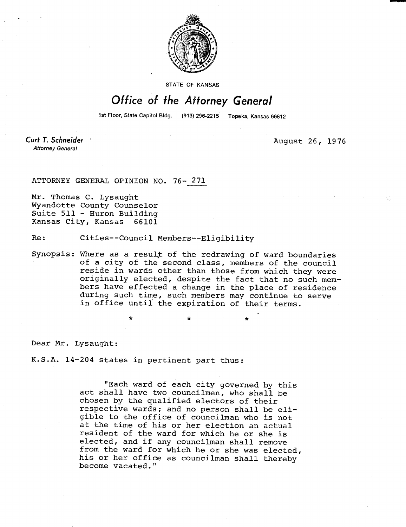

STATE OF KANSAS

## Office of the Attorney General

1st Floor, State Capitol Bldg. (913) 296-2215 Topeka, Kansas 66612

\*

Curt T. Schneider **Attorney General** 

August 26, 1976

ATTORNEY GENERAL OPINION NO. 76- 271

Mr. Thomas C. Lysaught Wyandotte County Counselor Suite 511 - Huron Building Kansas City, Kansas 66101

Re: Cities--Council Members--Eligibility

Synopsis: Where as a result of the redrawing of ward boundaries of a city of the second class, members of the council reside in wards other than those from which they were originally elected, despite the fact that no such members have effected a change in the place of residence during such time, such members may continue to serve in office until the expiration of their terms.

Dear Mr. Lysaught:

K.S.A. 14-204 states in pertinent part thus:

"Each ward of each city governed by this act shall have two councilmen, who shall be chosen by the qualified electors of their respective wards; and no person shall be eligible to the office of councilman who is not at the time of his or her election an actual resident of the ward for which he or she is elected, and if any councilman shall remove from the ward for which he or she was elected, his or her office as councilman shall thereby become vacated."